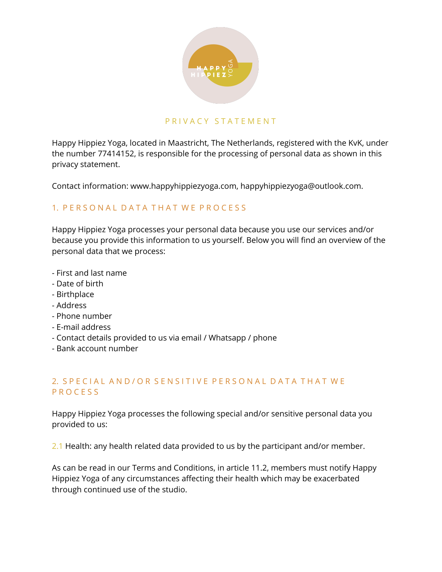

#### P R I V A C Y S T A T E M E N T

Happy Hippiez Yoga, located in Maastricht, The Netherlands, registered with the KvK, under the number 77414152, is responsible for the processing of personal data as shown in this privacy statement.

Contact information: www.happyhippiezyoga.com, happyhippiezyoga@outlook.com.

#### 1. P E R S O N A L D A T A T H A T W E P R O C E S S

Happy Hippiez Yoga processes your personal data because you use our services and/or because you provide this information to us yourself. Below you will find an overview of the personal data that we process:

- First and last name
- Date of birth
- Birthplace
- Address
- Phone number
- E-mail address
- Contact details provided to us via email / Whatsapp / phone
- Bank account number

#### 2. S P E C I A L A N D / O R S E N S I T I V E P E R S O N A L D A T A T H A T W E P R O C E S S

Happy Hippiez Yoga processes the following special and/or sensitive personal data you provided to us:

2.1 Health: any health related data provided to us by the participant and/or member.

As can be read in our Terms and Conditions, in article 11.2, members must notify Happy Hippiez Yoga of any circumstances affecting their health which may be exacerbated through continued use of the studio.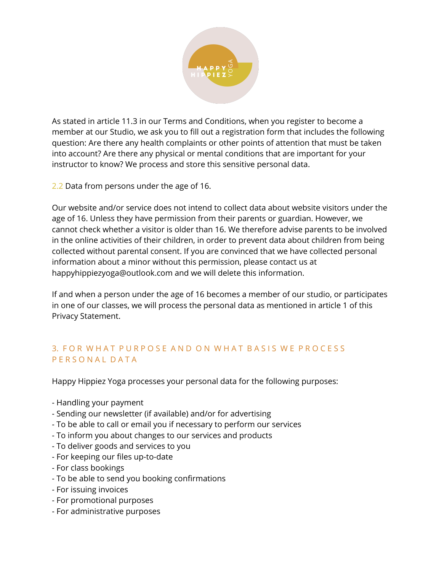

As stated in article 11.3 in our Terms and Conditions, when you register to become a member at our Studio, we ask you to fill out a registration form that includes the following question: Are there any health complaints or other points of attention that must be taken into account? Are there any physical or mental conditions that are important for your instructor to know? We process and store this sensitive personal data.

2.2 Data from persons under the age of 16.

Our website and/or service does not intend to collect data about website visitors under the age of 16. Unless they have permission from their parents or guardian. However, we cannot check whether a visitor is older than 16. We therefore advise parents to be involved in the online activities of their children, in order to prevent data about children from being collected without parental consent. If you are convinced that we have collected personal information about a minor without this permission, please contact us at happyhippiezyoga@outlook.com and we will delete this information.

If and when a person under the age of 16 becomes a member of our studio, or participates in one of our classes, we will process the personal data as mentioned in article 1 of this Privacy Statement.

## 3. FOR WHAT PURPOSE AND ON WHAT BASIS WE PROCESS P E R S O N A L D A T A

Happy Hippiez Yoga processes your personal data for the following purposes:

- Handling your payment
- Sending our newsletter (if available) and/or for advertising
- To be able to call or email you if necessary to perform our services
- To inform you about changes to our services and products
- To deliver goods and services to you
- For keeping our files up-to-date
- For class bookings
- To be able to send you booking confirmations
- For issuing invoices
- For promotional purposes
- For administrative purposes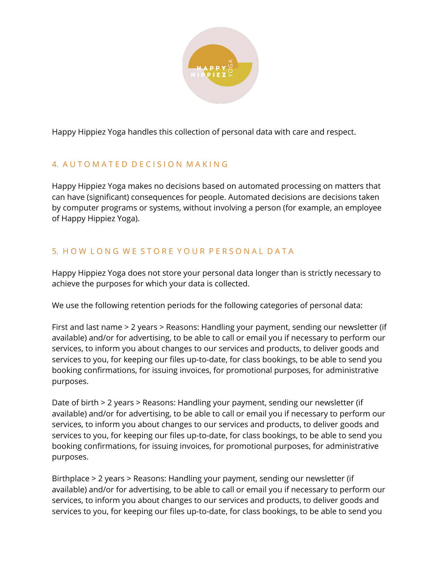

Happy Hippiez Yoga handles this collection of personal data with care and respect.

# 4. AUTOMATED DECISION MAKING

Happy Hippiez Yoga makes no decisions based on automated processing on matters that can have (significant) consequences for people. Automated decisions are decisions taken by computer programs or systems, without involving a person (for example, an employee of Happy Hippiez Yoga).

# 5. H O W L O N G W E S T O R E Y O U R P E R S O N A L D A T A

Happy Hippiez Yoga does not store your personal data longer than is strictly necessary to achieve the purposes for which your data is collected.

We use the following retention periods for the following categories of personal data:

First and last name > 2 years > Reasons: Handling your payment, sending our newsletter (if available) and/or for advertising, to be able to call or email you if necessary to perform our services, to inform you about changes to our services and products, to deliver goods and services to you, for keeping our files up-to-date, for class bookings, to be able to send you booking confirmations, for issuing invoices, for promotional purposes, for administrative purposes.

Date of birth > 2 years > Reasons: Handling your payment, sending our newsletter (if available) and/or for advertising, to be able to call or email you if necessary to perform our services, to inform you about changes to our services and products, to deliver goods and services to you, for keeping our files up-to-date, for class bookings, to be able to send you booking confirmations, for issuing invoices, for promotional purposes, for administrative purposes.

Birthplace > 2 years > Reasons: Handling your payment, sending our newsletter (if available) and/or for advertising, to be able to call or email you if necessary to perform our services, to inform you about changes to our services and products, to deliver goods and services to you, for keeping our files up-to-date, for class bookings, to be able to send you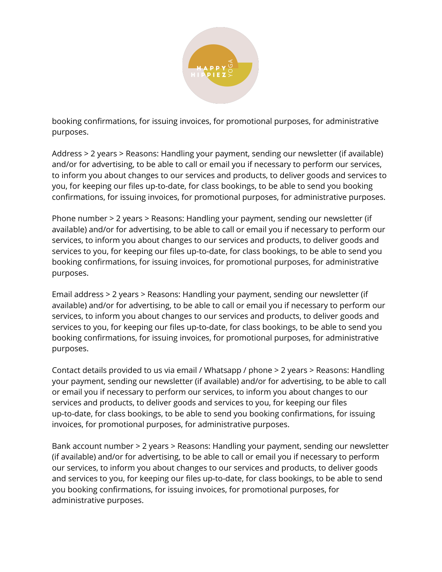

booking confirmations, for issuing invoices, for promotional purposes, for administrative purposes.

Address > 2 years > Reasons: Handling your payment, sending our newsletter (if available) and/or for advertising, to be able to call or email you if necessary to perform our services, to inform you about changes to our services and products, to deliver goods and services to you, for keeping our files up-to-date, for class bookings, to be able to send you booking confirmations, for issuing invoices, for promotional purposes, for administrative purposes.

Phone number > 2 years > Reasons: Handling your payment, sending our newsletter (if available) and/or for advertising, to be able to call or email you if necessary to perform our services, to inform you about changes to our services and products, to deliver goods and services to you, for keeping our files up-to-date, for class bookings, to be able to send you booking confirmations, for issuing invoices, for promotional purposes, for administrative purposes.

Email address > 2 years > Reasons: Handling your payment, sending our newsletter (if available) and/or for advertising, to be able to call or email you if necessary to perform our services, to inform you about changes to our services and products, to deliver goods and services to you, for keeping our files up-to-date, for class bookings, to be able to send you booking confirmations, for issuing invoices, for promotional purposes, for administrative purposes.

Contact details provided to us via email / Whatsapp / phone > 2 years > Reasons: Handling your payment, sending our newsletter (if available) and/or for advertising, to be able to call or email you if necessary to perform our services, to inform you about changes to our services and products, to deliver goods and services to you, for keeping our files up-to-date, for class bookings, to be able to send you booking confirmations, for issuing invoices, for promotional purposes, for administrative purposes.

Bank account number > 2 years > Reasons: Handling your payment, sending our newsletter (if available) and/or for advertising, to be able to call or email you if necessary to perform our services, to inform you about changes to our services and products, to deliver goods and services to you, for keeping our files up-to-date, for class bookings, to be able to send you booking confirmations, for issuing invoices, for promotional purposes, for administrative purposes.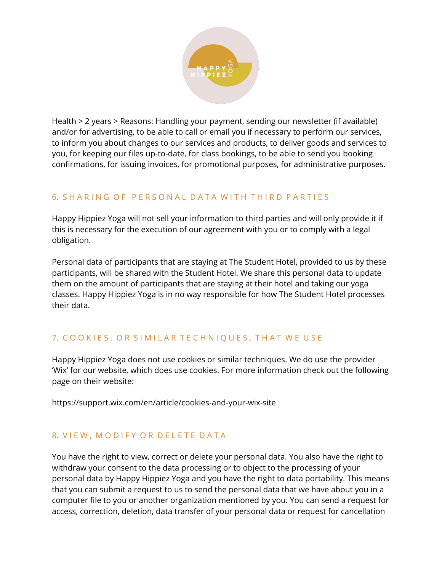

Health > 2 years > Reasons: Handling your payment, sending our newsletter (if available) and/or for advertising, to be able to call or email you if necessary to perform our services, to inform you about changes to our services and products, to deliver goods and services to you, for keeping our files up-to-date, for class bookings, to be able to send you booking confirmations, for issuing invoices, for promotional purposes, for administrative purposes.

## 6. SHARING OF PERSONAL DATA WITH THIRD PARTIES

Happy Hippiez Yoga will not sell your information to third parties and will only provide it if this is necessary for the execution of our agreement with you or to comply with a legal obligation.

Personal data of participants that are staying at The Student Hotel, provided to us by these participants, will be shared with the Student Hotel. We share this personal data to update them on the amount of participants that are staying at their hotel and taking our yoga classes. Happy Hippiez Yoga is in no way responsible for how The Student Hotel processes their data.

# 7. COOKIES, OR SIMILAR TECHNIQUES, THAT WE USE

Happy Hippiez Yoga does not use cookies or similar techniques. We do use the provider 'Wix' for our website, which does use cookies. For more information check out the following page on their website:

https://support.wix.com/en/article/cookies-and-your-wix-site

# 8. VIEW, MODIFY OR DELETE DATA

You have the right to view, correct or delete your personal data. You also have the right to withdraw your consent to the data processing or to object to the processing of your personal data by Happy Hippiez Yoga and you have the right to data portability. This means that you can submit a request to us to send the personal data that we have about you in a computer file to you or another organization mentioned by you. You can send a request for access, correction, deletion, data transfer of your personal data or request for cancellation